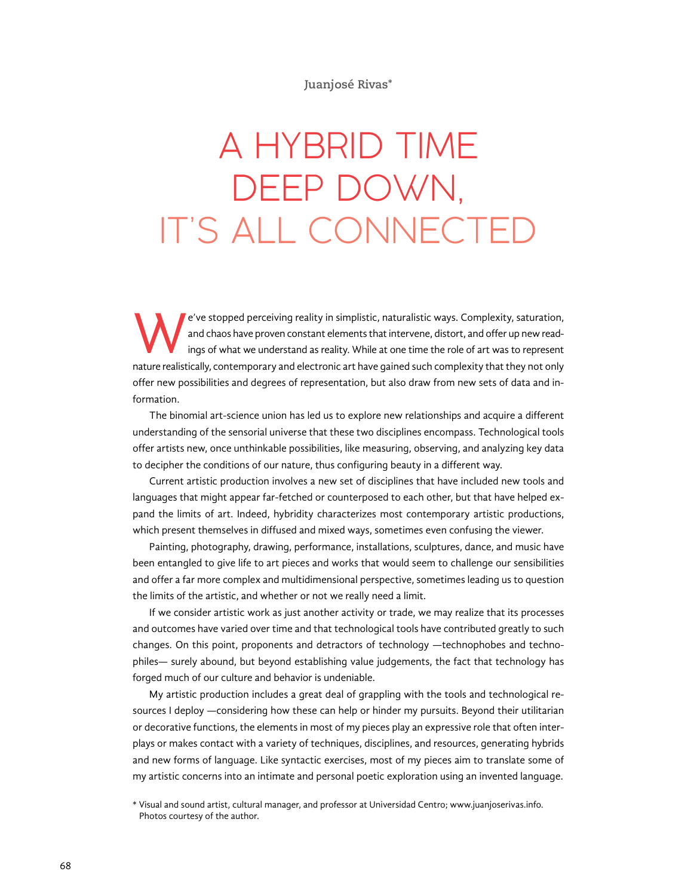#### **Juanjosé Rivas\***

# A HYBRID TIME DEEP DOWN, IT'S ALL CONNECTED

e've stopped perceiving reality in simplistic, naturalistic ways. Complexity, saturation,<br>and chaos have proven constant elements that intervene, distort, and offer up new read-<br>ings of what we understand as reality. While and chaos have proven constant elements that intervene, distort, and offer up new readings of what we understand as reality. While at one time the role of art was to represent nature realistically, contemporary and electronic art have gained such complexity that they not only offer new possibilities and degrees of representation, but also draw from new sets of data and information.

The binomial art-science union has led us to explore new relationships and acquire a different understanding of the sensorial universe that these two disciplines encompass. Technological tools offer artists new, once unthinkable possibilities, like measuring, observing, and analyzing key data to decipher the conditions of our nature, thus configuring beauty in a different way.

Current artistic production involves a new set of disciplines that have included new tools and languages that might appear far-fetched or counterposed to each other, but that have helped expand the limits of art. Indeed, hybridity characterizes most contemporary artistic productions, which present themselves in diffused and mixed ways, sometimes even confusing the viewer.

Painting, photography, drawing, performance, installations, sculptures, dance, and music have been entangled to give life to art pieces and works that would seem to challenge our sensibilities and offer a far more complex and multidimensional perspective, sometimes leading us to question the limits of the artistic, and whether or not we really need a limit.

If we consider artistic work as just another activity or trade, we may realize that its processes and outcomes have varied over time and that technological tools have contributed greatly to such changes. On this point, proponents and detractors of technology —technophobes and technophiles— surely abound, but beyond establishing value judgements, the fact that technology has forged much of our culture and behavior is undeniable.

My artistic production includes a great deal of grappling with the tools and technological resources I deploy —considering how these can help or hinder my pursuits. Beyond their utilitarian or decorative functions, the elements in most of my pieces play an expressive role that often interplays or makes contact with a variety of techniques, disciplines, and resources, generating hybrids and new forms of language. Like syntactic exercises, most of my pieces aim to translate some of my artistic concerns into an intimate and personal poetic exploration using an invented language.

<sup>\*</sup> Visual and sound artist, cultural manager, and professor at Universidad Centro; [www.juanjoserivas.info](http://www.juanjoserivas.info). Photos courtesy of the author.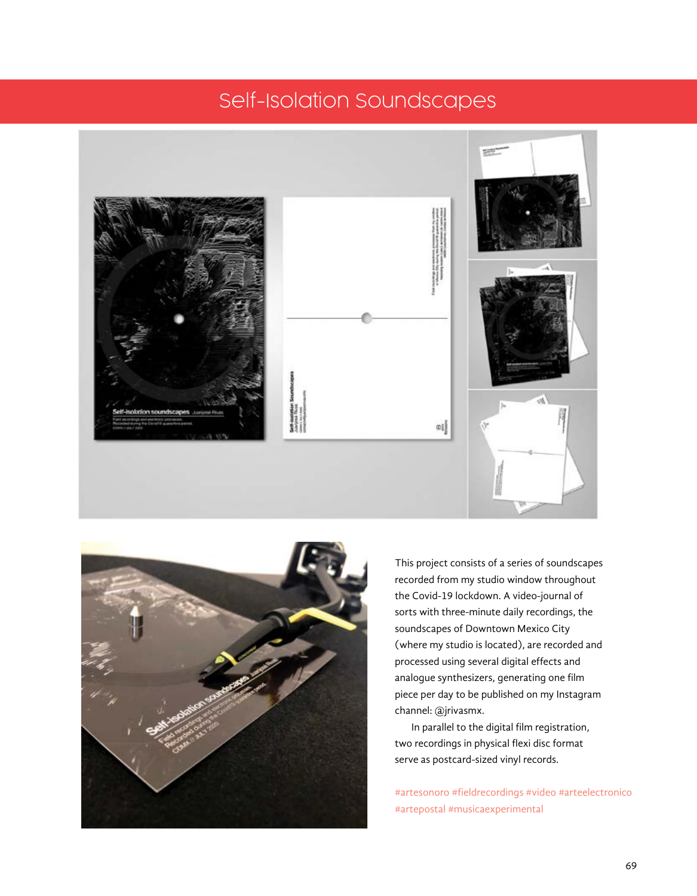### Self-Isolation Soundscapes





This project consists of a series of soundscapes recorded from my studio window throughout the Covid-19 lockdown. A video-journal of sorts with three-minute daily recordings, the soundscapes of Downtown Mexico City (where my studio is located), are recorded and processed using several digital effects and analogue synthesizers, generating one film piece per day to be published on my Instagram channel: @jrivasmx.

In parallel to the digital film registration, two recordings in physical flexi disc format serve as postcard-sized vinyl records.

#artesonoro #fieldrecordings #video #arteelectronico #artepostal #musicaexperimental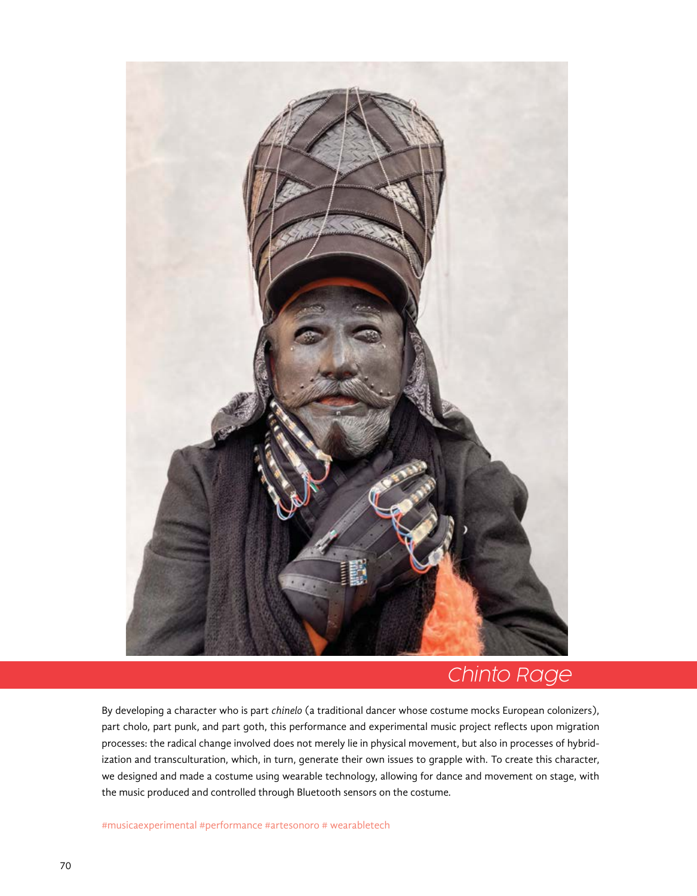

### Chinto Rage

By developing a character who is part *chinelo* (a traditional dancer whose costume mocks European colonizers), part cholo, part punk, and part goth, this performance and experimental music project reflects upon migration processes: the radical change involved does not merely lie in physical movement, but also in processes of hybridization and transculturation, which, in turn, generate their own issues to grapple with. To create this character, we designed and made a costume using wearable technology, allowing for dance and movement on stage, with the music produced and controlled through Bluetooth sensors on the costume*.*

#musicaexperimental #performance #artesonoro # wearabletech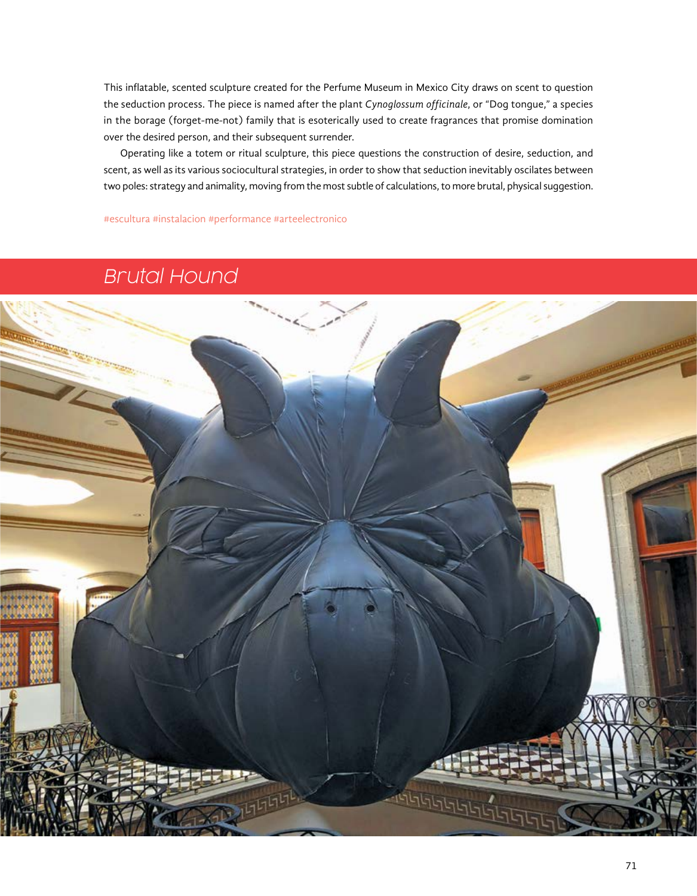This inflatable, scented sculpture created for the Perfume Museum in Mexico City draws on scent to question the seduction process. The piece is named after the plant *Cynoglossum officinale*, or "Dog tongue," a species in the borage (forget-me-not) family that is esoterically used to create fragrances that promise domination over the desired person, and their subsequent surrender.

Operating like a totem or ritual sculpture, this piece questions the construction of desire, seduction, and scent, as well as its various sociocultural strategies, in order to show that seduction inevitably oscilates between two poles: strategy and animality, moving from the most subtle of calculations, to more brutal, physical suggestion.

#escultura #instalacion #performance #arteelectronico

### Brutal Hound

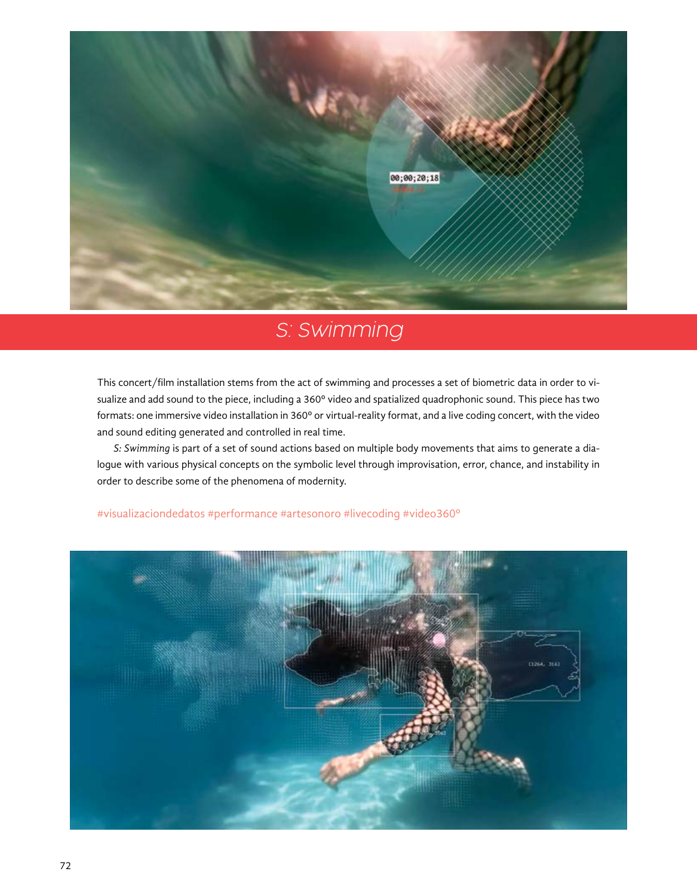

## S: Swimming

This concert/film installation stems from the act of swimming and processes a set of biometric data in order to visualize and add sound to the piece, including a 360º video and spatialized quadrophonic sound. This piece has two formats: one immersive video installation in 360º or virtual-reality format, and a live coding concert, with the video and sound editing generated and controlled in real time.

*S: Swimming* is part of a set of sound actions based on multiple body movements that aims to generate a dialogue with various physical concepts on the symbolic level through improvisation, error, chance, and instability in order to describe some of the phenomena of modernity.



#### #visualizaciondedatos #performance #artesonoro #livecoding #video360º